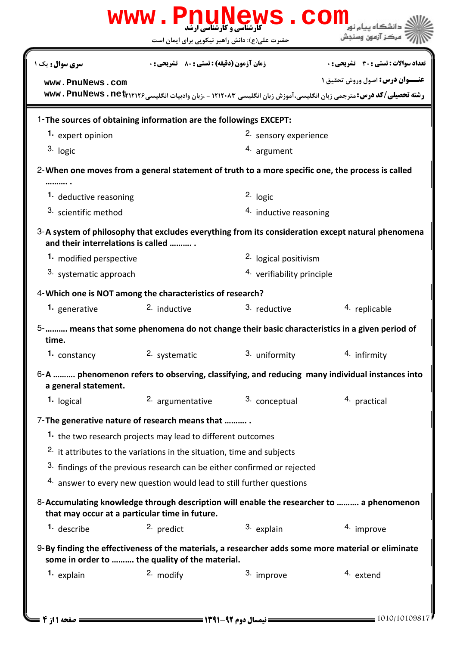|                                    | حضرت علی(ع): دانش راهبر نیکویی برای ایمان است                                     |                                                                                                  | مركز آزمون وسنجش                                                                                                     |
|------------------------------------|-----------------------------------------------------------------------------------|--------------------------------------------------------------------------------------------------|----------------------------------------------------------------------------------------------------------------------|
| <b>سری سوال :</b> یک ۱             | زمان آزمون (دقیقه) : تستی : 80 ٪ تشریحی : 0                                       |                                                                                                  | <b>تعداد سوالات : تستی : 30 ٪ تشریحی : 0</b>                                                                         |
| www.PnuNews.com                    |                                                                                   |                                                                                                  | <b>عنــوان درس:</b> اصول وروش تحقیق ۱                                                                                |
|                                    |                                                                                   |                                                                                                  | رشته تحصیلی/کد درس: مترجمی زبان انگلیسی، آموزش زبان انگلیسی ۱۲۱۲۰۸۳ - ،زبان وادبیات انگلیسی۱۲۱۲۶۶ www. PnuNews . net |
|                                    | 1-The sources of obtaining information are the followings EXCEPT:                 |                                                                                                  |                                                                                                                      |
| 1. expert opinion                  |                                                                                   | 2. sensory experience                                                                            |                                                                                                                      |
| 3. logic                           |                                                                                   | 4. argument                                                                                      |                                                                                                                      |
|                                    |                                                                                   | 2-When one moves from a general statement of truth to a more specific one, the process is called |                                                                                                                      |
|                                    |                                                                                   |                                                                                                  |                                                                                                                      |
| 1. deductive reasoning             |                                                                                   | $2.$ logic                                                                                       |                                                                                                                      |
| 3. scientific method               |                                                                                   | 4. inductive reasoning                                                                           |                                                                                                                      |
| and their interrelations is called |                                                                                   |                                                                                                  | 3-A system of philosophy that excludes everything from its consideration except natural phenomena                    |
| 1. modified perspective            |                                                                                   | <sup>2.</sup> logical positivism                                                                 |                                                                                                                      |
| 3. systematic approach             |                                                                                   | 4. verifiability principle                                                                       |                                                                                                                      |
|                                    | 4-Which one is NOT among the characteristics of research?                         |                                                                                                  |                                                                                                                      |
| 1. generative                      | 2. inductive                                                                      | 3. reductive                                                                                     | 4. replicable                                                                                                        |
| time.                              |                                                                                   |                                                                                                  | 5- means that some phenomena do not change their basic characteristics in a given period of                          |
| 1. constancy                       | 2. systematic                                                                     | 3. uniformity                                                                                    | 4. infirmity                                                                                                         |
|                                    |                                                                                   |                                                                                                  | 6-A  phenomenon refers to observing, classifying, and reducing many individual instances into                        |
| a general statement.               |                                                                                   |                                                                                                  |                                                                                                                      |
| 1. logical                         | 2. argumentative                                                                  | 3. conceptual                                                                                    | 4. practical                                                                                                         |
|                                    | 7- The generative nature of research means that                                   |                                                                                                  |                                                                                                                      |
|                                    | 1. the two research projects may lead to different outcomes                       |                                                                                                  |                                                                                                                      |
|                                    | <sup>2.</sup> it attributes to the variations in the situation, time and subjects |                                                                                                  |                                                                                                                      |
|                                    | 3. findings of the previous research can be either confirmed or rejected          |                                                                                                  |                                                                                                                      |
|                                    | 4. answer to every new question would lead to still further questions             |                                                                                                  |                                                                                                                      |
|                                    | that may occur at a particular time in future.                                    |                                                                                                  | 8-Accumulating knowledge through description will enable the researcher to  a phenomenon                             |
| <sup>1.</sup> describe             | 2. predict                                                                        | 3. explain                                                                                       | 4. improve                                                                                                           |
|                                    |                                                                                   |                                                                                                  | 9-By finding the effectiveness of the materials, a researcher adds some more material or eliminate                   |
|                                    | some in order to  the quality of the material.                                    |                                                                                                  |                                                                                                                      |
| 1. explain                         | 2. modify                                                                         | 3. improve                                                                                       | 4. extend                                                                                                            |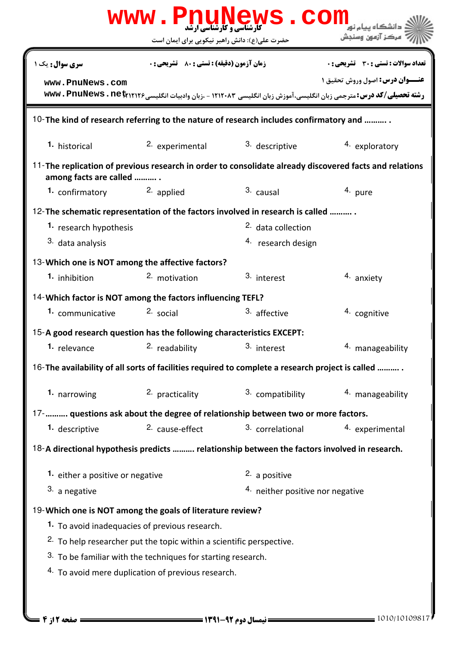| <b>زمان آزمون (دقیقه) : تستی : 80 ٪ تشریحی : 0</b><br><b>تعداد سوالات : تستی : 30 ٪ تشریحی : 0</b><br><b>سری سوال :</b> یک ۱<br>www.PnuNews.com<br>رشته تحصیلی/کد درس: مترجمی زبان انگلیسی،آموزش زبان انگلیسی ۱۲۱۲۰۸۳ - ،زبان وادبیات انگلیسی۱۲۱۲۶، www. PnuNews . net<br>2. experimental<br>3. descriptive<br>1. historical<br>4. exploratory<br>among facts are called<br>2. applied<br>3. causal<br>1. confirmatory<br>4. pure<br>1. research hypothesis<br><sup>2.</sup> data collection<br>3. data analysis<br><sup>4.</sup> research design<br><sup>2</sup> motivation<br>3. interest<br><sup>1.</sup> inhibition<br>4. anxiety<br>3. affective<br>2. social<br>4. cognitive<br>1. communicative<br><sup>2</sup> readability <sup>3</sup> interest<br>1. relevance<br><sup>4</sup> manageability<br>2. practicality<br>3. compatibility<br>1. narrowing<br>4. manageability<br>2. cause-effect<br>3. correlational<br>1. descriptive<br>4. experimental<br>2. a positive<br>1. either a positive or negative<br>3. a negative<br>4. neither positive nor negative<br>1. To avoid inadequacies of previous research.<br><sup>2.</sup> To help researcher put the topic within a scientific perspective.<br>3. To be familiar with the techniques for starting research. | حضرت علی(ع): دانش راهبر نیکویی برای ایمان است | ' مرڪز آزمون وسنڊش                    |
|------------------------------------------------------------------------------------------------------------------------------------------------------------------------------------------------------------------------------------------------------------------------------------------------------------------------------------------------------------------------------------------------------------------------------------------------------------------------------------------------------------------------------------------------------------------------------------------------------------------------------------------------------------------------------------------------------------------------------------------------------------------------------------------------------------------------------------------------------------------------------------------------------------------------------------------------------------------------------------------------------------------------------------------------------------------------------------------------------------------------------------------------------------------------------------------------------------------------------------------------------------------------------|-----------------------------------------------|---------------------------------------|
|                                                                                                                                                                                                                                                                                                                                                                                                                                                                                                                                                                                                                                                                                                                                                                                                                                                                                                                                                                                                                                                                                                                                                                                                                                                                              |                                               |                                       |
| 10-The kind of research referring to the nature of research includes confirmatory and                                                                                                                                                                                                                                                                                                                                                                                                                                                                                                                                                                                                                                                                                                                                                                                                                                                                                                                                                                                                                                                                                                                                                                                        |                                               | <b>عنــوان درس:</b> اصول وروش تحقيق 1 |
|                                                                                                                                                                                                                                                                                                                                                                                                                                                                                                                                                                                                                                                                                                                                                                                                                                                                                                                                                                                                                                                                                                                                                                                                                                                                              |                                               |                                       |
| 11-The replication of previous research in order to consolidate already discovered facts and relations<br>12-The schematic representation of the factors involved in research is called<br>13-Which one is NOT among the affective factors?<br>14- Which factor is NOT among the factors influencing TEFL?                                                                                                                                                                                                                                                                                                                                                                                                                                                                                                                                                                                                                                                                                                                                                                                                                                                                                                                                                                   |                                               |                                       |
|                                                                                                                                                                                                                                                                                                                                                                                                                                                                                                                                                                                                                                                                                                                                                                                                                                                                                                                                                                                                                                                                                                                                                                                                                                                                              |                                               |                                       |
|                                                                                                                                                                                                                                                                                                                                                                                                                                                                                                                                                                                                                                                                                                                                                                                                                                                                                                                                                                                                                                                                                                                                                                                                                                                                              |                                               |                                       |
|                                                                                                                                                                                                                                                                                                                                                                                                                                                                                                                                                                                                                                                                                                                                                                                                                                                                                                                                                                                                                                                                                                                                                                                                                                                                              |                                               |                                       |
|                                                                                                                                                                                                                                                                                                                                                                                                                                                                                                                                                                                                                                                                                                                                                                                                                                                                                                                                                                                                                                                                                                                                                                                                                                                                              |                                               |                                       |
|                                                                                                                                                                                                                                                                                                                                                                                                                                                                                                                                                                                                                                                                                                                                                                                                                                                                                                                                                                                                                                                                                                                                                                                                                                                                              |                                               |                                       |
|                                                                                                                                                                                                                                                                                                                                                                                                                                                                                                                                                                                                                                                                                                                                                                                                                                                                                                                                                                                                                                                                                                                                                                                                                                                                              |                                               |                                       |
|                                                                                                                                                                                                                                                                                                                                                                                                                                                                                                                                                                                                                                                                                                                                                                                                                                                                                                                                                                                                                                                                                                                                                                                                                                                                              |                                               |                                       |
|                                                                                                                                                                                                                                                                                                                                                                                                                                                                                                                                                                                                                                                                                                                                                                                                                                                                                                                                                                                                                                                                                                                                                                                                                                                                              |                                               |                                       |
|                                                                                                                                                                                                                                                                                                                                                                                                                                                                                                                                                                                                                                                                                                                                                                                                                                                                                                                                                                                                                                                                                                                                                                                                                                                                              |                                               |                                       |
| 15-A good research question has the following characteristics EXCEPT:<br>16-The availability of all sorts of facilities required to complete a research project is called<br>17-   questions ask about the degree of relationship between two or more factors.<br>18-A directional hypothesis predicts  relationship between the factors involved in research.<br>19-Which one is NOT among the goals of literature review?                                                                                                                                                                                                                                                                                                                                                                                                                                                                                                                                                                                                                                                                                                                                                                                                                                                  |                                               |                                       |
|                                                                                                                                                                                                                                                                                                                                                                                                                                                                                                                                                                                                                                                                                                                                                                                                                                                                                                                                                                                                                                                                                                                                                                                                                                                                              |                                               |                                       |
|                                                                                                                                                                                                                                                                                                                                                                                                                                                                                                                                                                                                                                                                                                                                                                                                                                                                                                                                                                                                                                                                                                                                                                                                                                                                              |                                               |                                       |
|                                                                                                                                                                                                                                                                                                                                                                                                                                                                                                                                                                                                                                                                                                                                                                                                                                                                                                                                                                                                                                                                                                                                                                                                                                                                              |                                               |                                       |
|                                                                                                                                                                                                                                                                                                                                                                                                                                                                                                                                                                                                                                                                                                                                                                                                                                                                                                                                                                                                                                                                                                                                                                                                                                                                              |                                               |                                       |
|                                                                                                                                                                                                                                                                                                                                                                                                                                                                                                                                                                                                                                                                                                                                                                                                                                                                                                                                                                                                                                                                                                                                                                                                                                                                              |                                               |                                       |
|                                                                                                                                                                                                                                                                                                                                                                                                                                                                                                                                                                                                                                                                                                                                                                                                                                                                                                                                                                                                                                                                                                                                                                                                                                                                              |                                               |                                       |
|                                                                                                                                                                                                                                                                                                                                                                                                                                                                                                                                                                                                                                                                                                                                                                                                                                                                                                                                                                                                                                                                                                                                                                                                                                                                              |                                               |                                       |
|                                                                                                                                                                                                                                                                                                                                                                                                                                                                                                                                                                                                                                                                                                                                                                                                                                                                                                                                                                                                                                                                                                                                                                                                                                                                              |                                               |                                       |
|                                                                                                                                                                                                                                                                                                                                                                                                                                                                                                                                                                                                                                                                                                                                                                                                                                                                                                                                                                                                                                                                                                                                                                                                                                                                              |                                               |                                       |
|                                                                                                                                                                                                                                                                                                                                                                                                                                                                                                                                                                                                                                                                                                                                                                                                                                                                                                                                                                                                                                                                                                                                                                                                                                                                              |                                               |                                       |
|                                                                                                                                                                                                                                                                                                                                                                                                                                                                                                                                                                                                                                                                                                                                                                                                                                                                                                                                                                                                                                                                                                                                                                                                                                                                              |                                               |                                       |
|                                                                                                                                                                                                                                                                                                                                                                                                                                                                                                                                                                                                                                                                                                                                                                                                                                                                                                                                                                                                                                                                                                                                                                                                                                                                              |                                               |                                       |
|                                                                                                                                                                                                                                                                                                                                                                                                                                                                                                                                                                                                                                                                                                                                                                                                                                                                                                                                                                                                                                                                                                                                                                                                                                                                              |                                               |                                       |
|                                                                                                                                                                                                                                                                                                                                                                                                                                                                                                                                                                                                                                                                                                                                                                                                                                                                                                                                                                                                                                                                                                                                                                                                                                                                              |                                               |                                       |
| 4. To avoid mere duplication of previous research.                                                                                                                                                                                                                                                                                                                                                                                                                                                                                                                                                                                                                                                                                                                                                                                                                                                                                                                                                                                                                                                                                                                                                                                                                           |                                               |                                       |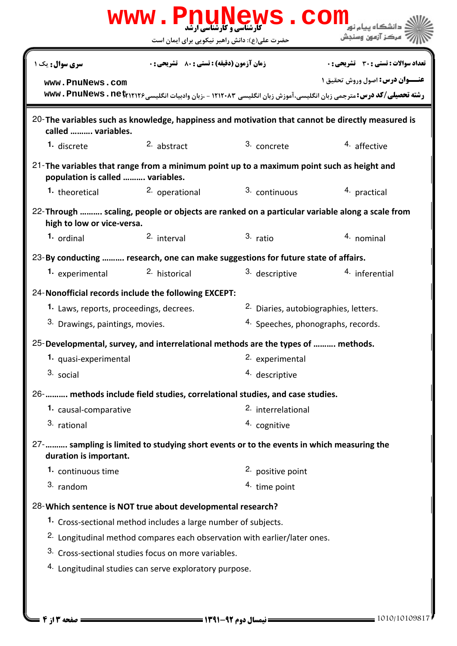|                                                                                                                               |                                                                | www.PnuNews.con                                                                      |                                                                                                                                                                      |
|-------------------------------------------------------------------------------------------------------------------------------|----------------------------------------------------------------|--------------------------------------------------------------------------------------|----------------------------------------------------------------------------------------------------------------------------------------------------------------------|
|                                                                                                                               | حضرت علی(ع): دانش راهبر نیکویی برای ایمان است                  |                                                                                      | مركز آزمون وسنجش                                                                                                                                                     |
| <b>سری سوال :</b> یک ۱                                                                                                        | <b>زمان آزمون (دقیقه) : تستی : 80 ٪ تشریحی : 0</b>             |                                                                                      | <b>تعداد سوالات : تستی : 30 ٪ تشریحی : 0</b>                                                                                                                         |
| www.PnuNews.com                                                                                                               |                                                                |                                                                                      | <b>عنــوان درس:</b> اصول وروش تحقیق ۱<br><b>رشته تحصیلی/کد درس:</b> مترجمی زبان انگلیسی،آموزش زبان انگلیسی ۱۲۱۲۰۸۳ - ،زبان وادبیات انگلیسی۱۲۱۲۶، www . PnuNews . net |
| called  variables.                                                                                                            |                                                                |                                                                                      | 20-The variables such as knowledge, happiness and motivation that cannot be directly measured is                                                                     |
| 1. discrete                                                                                                                   | 2. abstract                                                    | 3. concrete                                                                          | 4. affective                                                                                                                                                         |
| 21-The variables that range from a minimum point up to a maximum point such as height and<br>population is called  variables. |                                                                |                                                                                      |                                                                                                                                                                      |
| 1. theoretical                                                                                                                | <sup>2.</sup> operational                                      | 3. continuous                                                                        | 4. practical                                                                                                                                                         |
| 22-Through  scaling, people or objects are ranked on a particular variable along a scale from<br>high to low or vice-versa.   |                                                                |                                                                                      |                                                                                                                                                                      |
| 1. ordinal                                                                                                                    | 2. interval                                                    | $3.$ ratio                                                                           | 4. nominal                                                                                                                                                           |
| 23-By conducting  research, one can make suggestions for future state of affairs.                                             |                                                                |                                                                                      |                                                                                                                                                                      |
| 1. experimental                                                                                                               | <sup>2.</sup> historical                                       | 3. descriptive                                                                       | 4. inferential                                                                                                                                                       |
| 24-Nonofficial records include the following EXCEPT:                                                                          |                                                                |                                                                                      |                                                                                                                                                                      |
| 2. Diaries, autobiographies, letters.<br>1. Laws, reports, proceedings, decrees.                                              |                                                                |                                                                                      |                                                                                                                                                                      |
| 3. Drawings, paintings, movies.                                                                                               |                                                                | 4. Speeches, phonographs, records.                                                   |                                                                                                                                                                      |
| 25-Developmental, survey, and interrelational methods are the types of  methods.                                              |                                                                |                                                                                      |                                                                                                                                                                      |
| 1. quasi-experimental                                                                                                         |                                                                | 2. experimental                                                                      |                                                                                                                                                                      |
| 3. social                                                                                                                     |                                                                | 4. descriptive                                                                       |                                                                                                                                                                      |
| 26-   methods include field studies, correlational studies, and case studies.                                                 |                                                                |                                                                                      |                                                                                                                                                                      |
| 1. causal-comparative                                                                                                         |                                                                | 2. interrelational                                                                   |                                                                                                                                                                      |
| 3. rational                                                                                                                   |                                                                | 4. cognitive                                                                         |                                                                                                                                                                      |
| 27- sampling is limited to studying short events or to the events in which measuring the<br>duration is important.            |                                                                |                                                                                      |                                                                                                                                                                      |
| 1. continuous time                                                                                                            |                                                                | 2. positive point                                                                    |                                                                                                                                                                      |
| 3. random                                                                                                                     |                                                                | 4. time point                                                                        |                                                                                                                                                                      |
| 28-Which sentence is NOT true about developmental research?                                                                   |                                                                |                                                                                      |                                                                                                                                                                      |
|                                                                                                                               | 1. Cross-sectional method includes a large number of subjects. |                                                                                      |                                                                                                                                                                      |
|                                                                                                                               |                                                                | <sup>2.</sup> Longitudinal method compares each observation with earlier/later ones. |                                                                                                                                                                      |
|                                                                                                                               | 3. Cross-sectional studies focus on more variables.            |                                                                                      |                                                                                                                                                                      |
|                                                                                                                               | 4. Longitudinal studies can serve exploratory purpose.         |                                                                                      |                                                                                                                                                                      |
|                                                                                                                               |                                                                |                                                                                      |                                                                                                                                                                      |